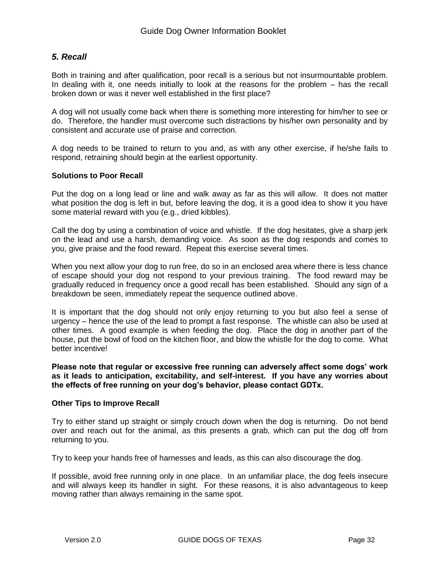## *5. Recall*

Both in training and after qualification, poor recall is a serious but not insurmountable problem. In dealing with it, one needs initially to look at the reasons for the problem – has the recall broken down or was it never well established in the first place?

A dog will not usually come back when there is something more interesting for him/her to see or do. Therefore, the handler must overcome such distractions by his/her own personality and by consistent and accurate use of praise and correction.

A dog needs to be trained to return to you and, as with any other exercise, if he/she fails to respond, retraining should begin at the earliest opportunity.

## **Solutions to Poor Recall**

Put the dog on a long lead or line and walk away as far as this will allow. It does not matter what position the dog is left in but, before leaving the dog, it is a good idea to show it you have some material reward with you (e.g., dried kibbles).

Call the dog by using a combination of voice and whistle. If the dog hesitates, give a sharp jerk on the lead and use a harsh, demanding voice. As soon as the dog responds and comes to you, give praise and the food reward. Repeat this exercise several times.

When you next allow your dog to run free, do so in an enclosed area where there is less chance of escape should your dog not respond to your previous training. The food reward may be gradually reduced in frequency once a good recall has been established. Should any sign of a breakdown be seen, immediately repeat the sequence outlined above.

It is important that the dog should not only enjoy returning to you but also feel a sense of urgency – hence the use of the lead to prompt a fast response. The whistle can also be used at other times. A good example is when feeding the dog. Place the dog in another part of the house, put the bowl of food on the kitchen floor, and blow the whistle for the dog to come. What better incentive!

**Please note that regular or excessive free running can adversely affect some dogs' work as it leads to anticipation, excitability, and self-interest. If you have any worries about the effects of free running on your dog's behavior, please contact GDTx.**

## **Other Tips to Improve Recall**

Try to either stand up straight or simply crouch down when the dog is returning. Do not bend over and reach out for the animal, as this presents a grab, which can put the dog off from returning to you.

Try to keep your hands free of harnesses and leads, as this can also discourage the dog.

If possible, avoid free running only in one place. In an unfamiliar place, the dog feels insecure and will always keep its handler in sight. For these reasons, it is also advantageous to keep moving rather than always remaining in the same spot.